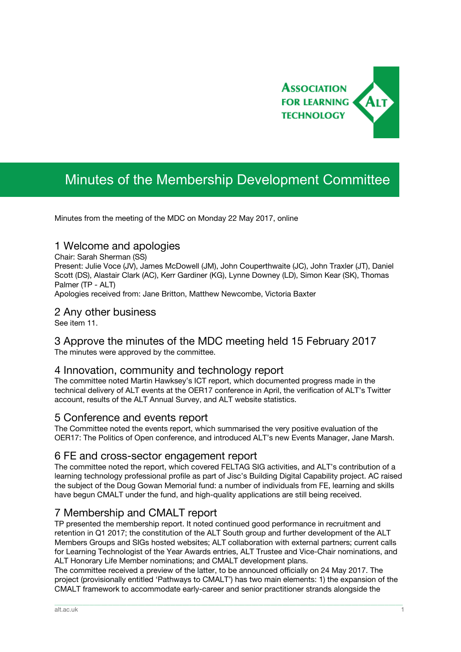

# Minutes of the Membership Development Committee

Minutes from the meeting of the MDC on Monday 22 May 2017, online

# 1 Welcome and apologies

Chair: Sarah Sherman (SS)

Present: Julie Voce (JV), James McDowell (JM), John Couperthwaite (JC), John Traxler (JT), Daniel Scott (DS), Alastair Clark (AC), Kerr Gardiner (KG), Lynne Downey (LD), Simon Kear (SK), Thomas Palmer (TP - ALT)

Apologies received from: Jane Britton, Matthew Newcombe, Victoria Baxter

#### 2 Any other business

See item 11.

# 3 Approve the minutes of the MDC meeting held 15 February 2017

The minutes were approved by the committee.

# 4 Innovation, community and technology report

The committee noted Martin Hawksey's ICT report, which documented progress made in the technical delivery of ALT events at the OER17 conference in April, the verification of ALT's Twitter account, results of the ALT Annual Survey, and ALT website statistics.

#### 5 Conference and events report

The Committee noted the events report, which summarised the very positive evaluation of the OER17: The Politics of Open conference, and introduced ALT's new Events Manager, Jane Marsh.

### 6 FE and cross-sector engagement report

The committee noted the report, which covered FELTAG SIG activities, and ALT's contribution of a learning technology professional profile as part of Jisc's Building Digital Capability project. AC raised the subject of the Doug Gowan Memorial fund: a number of individuals from FE, learning and skills have begun CMALT under the fund, and high-quality applications are still being received.

# 7 Membership and CMALT report

TP presented the membership report. It noted continued good performance in recruitment and retention in Q1 2017; the constitution of the ALT South group and further development of the ALT Members Groups and SIGs hosted websites; ALT collaboration with external partners; current calls for Learning Technologist of the Year Awards entries, ALT Trustee and Vice-Chair nominations, and ALT Honorary Life Member nominations; and CMALT development plans.

The committee received a preview of the latter, to be announced officially on 24 May 2017. The project (provisionally entitled 'Pathways to CMALT') has two main elements: 1) the expansion of the CMALT framework to accommodate early-career and senior practitioner strands alongside the

\_\_\_\_\_\_\_\_\_\_\_\_\_\_\_\_\_\_\_\_\_\_\_\_\_\_\_\_\_\_\_\_\_\_\_\_\_\_\_\_\_\_\_\_\_\_\_\_\_\_\_\_\_\_\_\_\_\_\_\_\_\_\_\_\_\_\_\_\_\_\_\_\_\_\_\_\_\_\_\_\_\_\_\_\_\_\_\_\_\_\_\_\_\_\_\_\_\_\_\_\_\_\_\_\_\_\_\_\_\_\_\_\_\_\_\_\_\_\_\_\_\_\_\_\_\_\_\_\_\_\_\_\_\_\_\_\_\_\_\_\_\_\_\_\_\_\_\_\_\_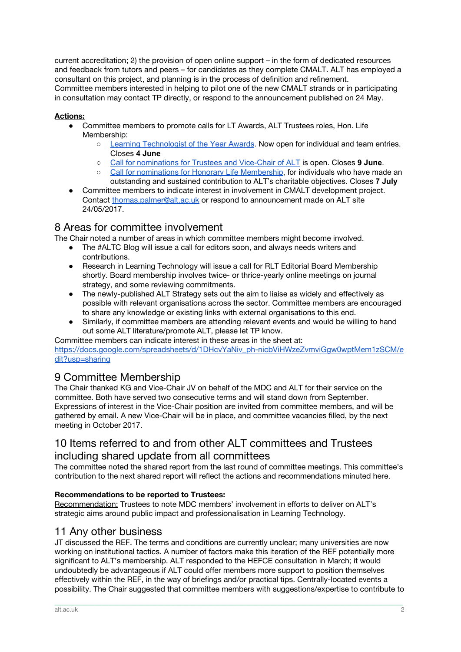current accreditation; 2) the provision of open online support – in the form of dedicated resources and feedback from tutors and peers – for candidates as they complete CMALT. ALT has employed a consultant on this project, and planning is in the process of definition and refinement. Committee members interested in helping to pilot one of the new CMALT strands or in participating in consultation may contact TP directly, or respond to the announcement published on 24 May.

#### **Actions:**

- Committee members to promote calls for LT Awards, ALT Trustees roles, Hon. Life Membership:
	- Learning [Technologist](https://www.alt.ac.uk/news/all_news/now-open-entries-2017-learning-technologist-year-awards) of the Year Awards. Now open for individual and team entries. Closes **4 June**
	- Call for [nominations](https://www.alt.ac.uk/news/all_news/2017-nominations-trustees-and-vice-chair-alt-and-agm-calling-notice) for Trustees and Vice-Chair of ALT is open. Closes **9 June**.
	- Call for nominations for Honorary Life [Membership](https://www.alt.ac.uk/news/all_news/2017-call-nominations-honorary-life-membership), for individuals who have made an outstanding and sustained contribution to ALT's charitable objectives. Closes **7 July**
- Committee members to indicate interest in involvement in CMALT development project. Contact [thomas.palmer@alt.ac.uk](mailto:thomas.palmer@alt.ac.uk) or respond to announcement made on ALT site 24/05/2017.

# 8 Areas for committee involvement

The Chair noted a number of areas in which committee members might become involved.

- The #ALTC Blog will issue a call for editors soon, and always needs writers and contributions.
- Research in Learning Technology will issue a call for RLT Editorial Board Membership shortly. Board membership involves twice- or thrice-yearly online meetings on journal strategy, and some reviewing commitments.
- The newly-published ALT Strategy sets out the aim to liaise as widely and effectively as possible with relevant organisations across the sector. Committee members are encouraged to share any knowledge or existing links with external organisations to this end.
- Similarly, if committee members are attending relevant events and would be willing to hand out some ALT literature/promote ALT, please let TP know.

Committee members can indicate interest in these areas in the sheet at:

[https://docs.google.com/spreadsheets/d/1DHcvYaNiv\\_ph-nicbViHWzeZvmviGgw0wptMem1zSCM/e](https://docs.google.com/spreadsheets/d/1DHcvYaNiv_ph-nicbViHWzeZvmviGgw0wptMem1zSCM/edit?usp=sharing) [dit?usp=sharing](https://docs.google.com/spreadsheets/d/1DHcvYaNiv_ph-nicbViHWzeZvmviGgw0wptMem1zSCM/edit?usp=sharing)

# 9 Committee Membership

The Chair thanked KG and Vice-Chair JV on behalf of the MDC and ALT for their service on the committee. Both have served two consecutive terms and will stand down from September. Expressions of interest in the Vice-Chair position are invited from committee members, and will be gathered by email. A new Vice-Chair will be in place, and committee vacancies filled, by the next meeting in October 2017.

# 10 Items referred to and from other ALT committees and Trustees including shared update from all committees

The committee noted the shared report from the last round of committee meetings. This committee's contribution to the next shared report will reflect the actions and recommendations minuted here.

#### **Recommendations to be reported to Trustees:**

Recommendation: Trustees to note MDC members' involvement in efforts to deliver on ALT's strategic aims around public impact and professionalisation in Learning Technology.

# 11 Any other business

JT discussed the REF. The terms and conditions are currently unclear; many universities are now working on institutional tactics. A number of factors make this iteration of the REF potentially more significant to ALT's membership. ALT responded to the HEFCE consultation in March; it would undoubtedly be advantageous if ALT could offer members more support to position themselves effectively within the REF, in the way of briefings and/or practical tips. Centrally-located events a possibility. The Chair suggested that committee members with suggestions/expertise to contribute to

\_\_\_\_\_\_\_\_\_\_\_\_\_\_\_\_\_\_\_\_\_\_\_\_\_\_\_\_\_\_\_\_\_\_\_\_\_\_\_\_\_\_\_\_\_\_\_\_\_\_\_\_\_\_\_\_\_\_\_\_\_\_\_\_\_\_\_\_\_\_\_\_\_\_\_\_\_\_\_\_\_\_\_\_\_\_\_\_\_\_\_\_\_\_\_\_\_\_\_\_\_\_\_\_\_\_\_\_\_\_\_\_\_\_\_\_\_\_\_\_\_\_\_\_\_\_\_\_\_\_\_\_\_\_\_\_\_\_\_\_\_\_\_\_\_\_\_\_\_\_